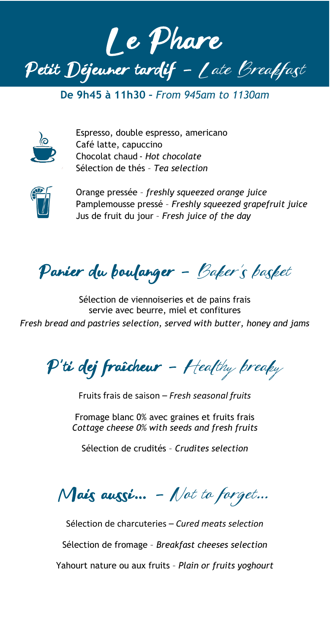

**De 9h45 à 11h30 –** *From 945am to 1130am*



Espresso, double espresso, americano Café latte, capuccino Chocolat chaud - *Hot chocolate* Sélection de thés – *Tea selection*



Orange pressée – *freshly squeezed orange juice* Pamplemousse pressé – *Freshly squeezed grapefruit juice* Jus de fruit du jour – *Fresh juice of the day*

Panier du boulanger – Baker's basket

Sélection de viennoiseries et de pains frais servie avec beurre, miel et confitures *Fresh bread and pastries selection, served with butter, honey and jams*

 $P'$ ti dej fraîcheur - Healthy breaky

Fruits frais de saison – *Fresh seasonal fruits*

Fromage blanc 0% avec graines et fruits frais *Cottage cheese 0% with seeds and fresh fruits*

Sélection de crudités – *Crudites selection*

 $M$ ais aussi... - Not to forget...

Sélection de charcuteries – *Cured meats selection* Sélection de fromage – *Breakfast cheeses selection* Yahourt nature ou aux fruits – *Plain or fruits yoghourt*